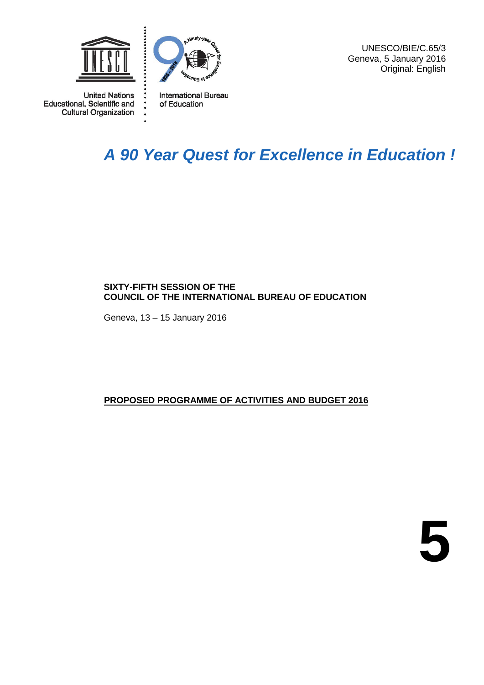

 $\ddot{\bullet}$ 

 $\ddot{\bullet}$ 

**United Nations** Educational, Scientific and **Cultural Organization** 



**International Bureau** of Education

UNESCO/BIE/C.65/3 Geneva, 5 January 2016 Original: English

## *A 90 Year Quest for Excellence in Education !*

#### **SIXTY-FIFTH SESSION OF THE COUNCIL OF THE INTERNATIONAL BUREAU OF EDUCATION**

Geneva, 13 – 15 January 2016

#### **PROPOSED PROGRAMME OF ACTIVITIES AND BUDGET 2016**

**5**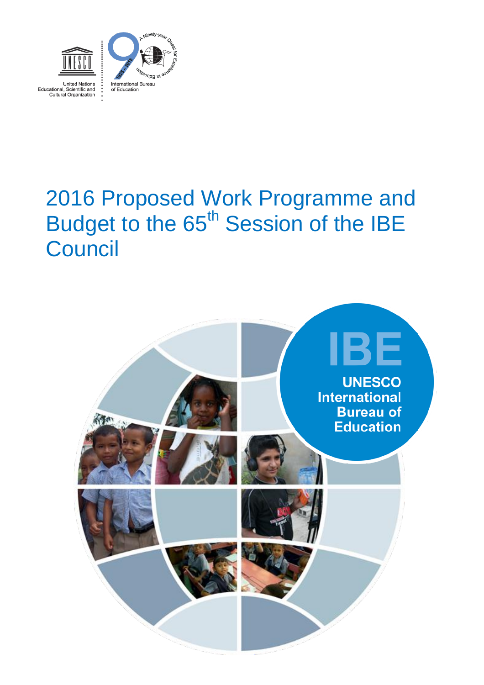

# 2016 Proposed Work Programme and Budget to the 65<sup>th</sup> Session of the IBE **Council**

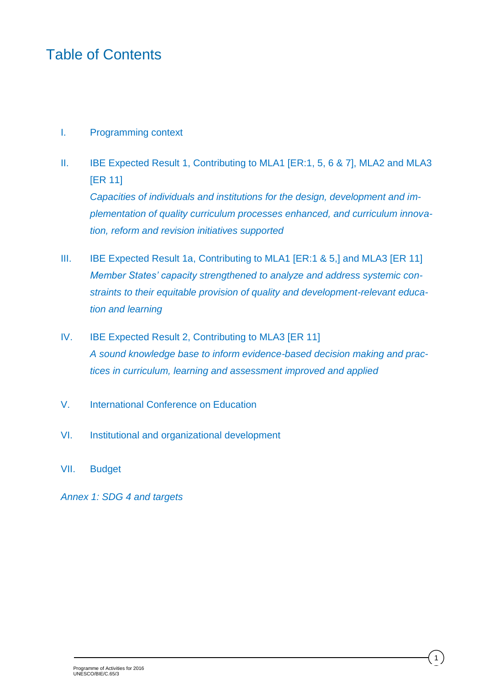### Table of Contents

#### I. Programming context

- II. IBE Expected Result 1, Contributing to MLA1 [ER:1, 5, 6 & 7], MLA2 and MLA3 [ER 11] *Capacities of individuals and institutions for the design, development and implementation of quality curriculum processes enhanced, and curriculum innovation, reform and revision initiatives supported*
- III. IBE Expected Result 1a, Contributing to MLA1 [ER:1 & 5,] and MLA3 [ER 11] *Member States' capacity strengthened to analyze and address systemic constraints to their equitable provision of quality and development-relevant education and learning*
- IV. IBE Expected Result 2, Contributing to MLA3 [ER 11] *A sound knowledge base to inform evidence-based decision making and practices in curriculum, learning and assessment improved and applied*
- V. International Conference on Education
- VI. Institutional and organizational development
- VII. Budget

*Annex 1: SDG 4 and targets*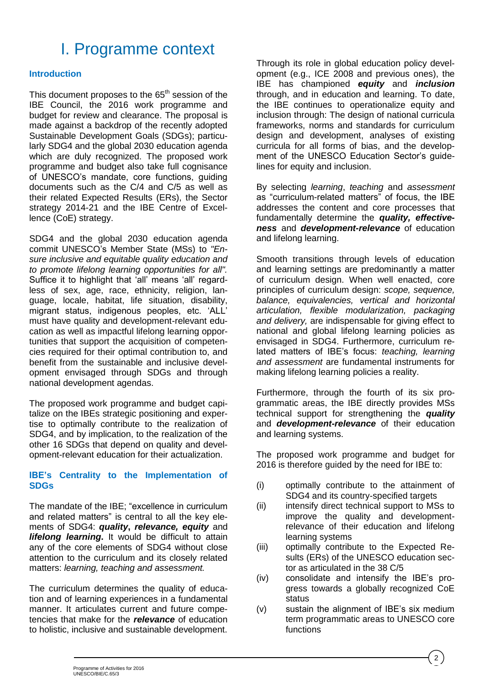## I. Programme context

#### **Introduction**

This document proposes to the  $65<sup>th</sup>$  session of the IBE Council, the 2016 work programme and budget for review and clearance. The proposal is made against a backdrop of the recently adopted Sustainable Development Goals (SDGs); particularly SDG4 and the global 2030 education agenda which are duly recognized. The proposed work programme and budget also take full cognisance of UNESCO's mandate, core functions, guiding documents such as the C/4 and C/5 as well as their related Expected Results (ERs), the Sector strategy 2014-21 and the IBE Centre of Excellence (CoE) strategy.

SDG4 and the global 2030 education agenda commit UNESCO's Member State (MSs) to *"Ensure inclusive and equitable quality education and to promote lifelong learning opportunities for all".* Suffice it to highlight that 'all' means 'all' regardless of sex, age, race, ethnicity, religion, language, locale, habitat, life situation, disability, migrant status, indigenous peoples, etc. 'ALL' must have quality and development-relevant education as well as impactful lifelong learning opportunities that support the acquisition of competencies required for their optimal contribution to, and benefit from the sustainable and inclusive development envisaged through SDGs and through national development agendas.

The proposed work programme and budget capitalize on the IBEs strategic positioning and expertise to optimally contribute to the realization of SDG4, and by implication, to the realization of the other 16 SDGs that depend on quality and development-relevant education for their actualization.

#### **IBE's Centrality to the Implementation of SDGs**

The mandate of the IBE; "excellence in curriculum and related matters" is central to all the key elements of SDG4: *quality***,** *relevance, equity* and *lifelong learning***.** It would be difficult to attain any of the core elements of SDG4 without close attention to the curriculum and its closely related matters: *learning, teaching and assessment.*

The curriculum determines the quality of education and of learning experiences in a fundamental manner. It articulates current and future competencies that make for the *relevance* of education to holistic, inclusive and sustainable development.

Through its role in global education policy development (e.g., ICE 2008 and previous ones), the IBE has championed *equity* and *inclusion* through, and in education and learning. To date, the IBE continues to operationalize equity and inclusion through: The design of national curricula frameworks, norms and standards for curriculum design and development, analyses of existing curricula for all forms of bias, and the development of the UNESCO Education Sector's guidelines for equity and inclusion.

By selecting *learning*, *teaching* and *assessment* as "curriculum-related matters" of focus, the IBE addresses the content and core processes that fundamentally determine the *quality, effectiveness* and *development-relevance* of education and lifelong learning.

Smooth transitions through levels of education and learning settings are predominantly a matter of curriculum design. When well enacted, core principles of curriculum design: *scope, sequence, balance, equivalencies, vertical and horizontal articulation, flexible modularization, packaging and delivery,* are indispensable for giving effect to national and global lifelong learning policies as envisaged in SDG4. Furthermore, curriculum related matters of IBE's focus: *teaching, learning and assessment* are fundamental instruments for making lifelong learning policies a reality.

Furthermore, through the fourth of its six programmatic areas, the IBE directly provides MSs technical support for strengthening the *quality*  and *development-relevance* of their education and learning systems.

The proposed work programme and budget for 2016 is therefore guided by the need for IBE to:

- (i) optimally contribute to the attainment of SDG4 and its country-specified targets
- (ii) intensify direct technical support to MSs to improve the quality and developmentrelevance of their education and lifelong learning systems
- (iii) optimally contribute to the Expected Results (ERs) of the UNESCO education sector as articulated in the 38 C/5
- (iv) consolidate and intensify the IBE's progress towards a globally recognized CoE status
- (v) sustain the alignment of IBE's six medium term programmatic areas to UNESCO core functions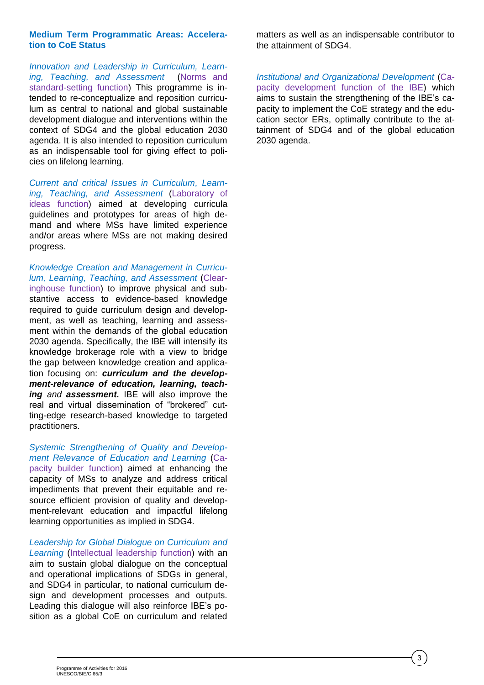#### **Medium Term Programmatic Areas: Acceleration to CoE Status**

*Innovation and Leadership in Curriculum, Learning, Teaching, and Assessment* (Norms and standard-setting function) This programme is intended to re-conceptualize and reposition curriculum as central to national and global sustainable development dialogue and interventions within the context of SDG4 and the global education 2030 agenda. It is also intended to reposition curriculum as an indispensable tool for giving effect to policies on lifelong learning.

*Current and critical Issues in Curriculum, Learning, Teaching, and Assessment* (Laboratory of ideas function) aimed at developing curricula guidelines and prototypes for areas of high demand and where MSs have limited experience and/or areas where MSs are not making desired progress.

*Knowledge Creation and Management in Curriculum, Learning, Teaching, and Assessment* (Clearinghouse function) to improve physical and substantive access to evidence-based knowledge required to guide curriculum design and development, as well as teaching, learning and assessment within the demands of the global education 2030 agenda. Specifically, the IBE will intensify its knowledge brokerage role with a view to bridge the gap between knowledge creation and application focusing on: *curriculum and the development-relevance of education, learning, teaching and assessment.* IBE will also improve the real and virtual dissemination of "brokered" cutting-edge research-based knowledge to targeted practitioners.

*Systemic Strengthening of Quality and Development Relevance of Education and Learning* (Capacity builder function) aimed at enhancing the capacity of MSs to analyze and address critical impediments that prevent their equitable and resource efficient provision of quality and development-relevant education and impactful lifelong learning opportunities as implied in SDG4.

*Leadership for Global Dialogue on Curriculum and*  Learning (Intellectual leadership function) with an aim to sustain global dialogue on the conceptual and operational implications of SDGs in general, and SDG4 in particular, to national curriculum design and development processes and outputs. Leading this dialogue will also reinforce IBE's position as a global CoE on curriculum and related

matters as well as an indispensable contributor to the attainment of SDG4.

*Institutional and Organizational Development* (Capacity development function of the IBE) which aims to sustain the strengthening of the IBE's capacity to implement the CoE strategy and the education sector ERs, optimally contribute to the attainment of SDG4 and of the global education 2030 agenda.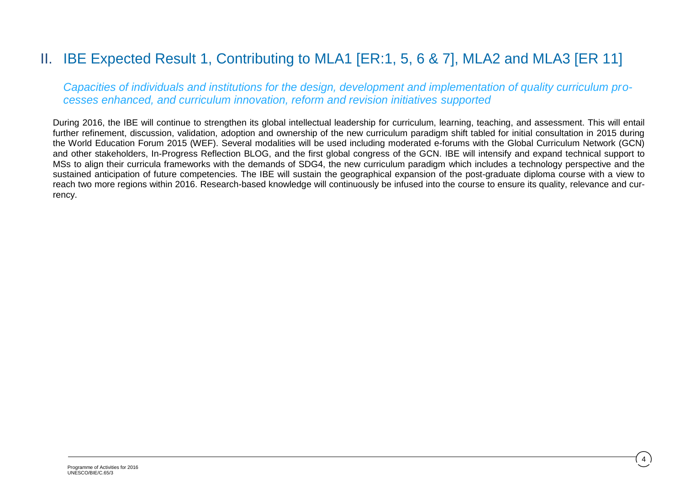### II. IBE Expected Result 1, Contributing to MLA1 [ER:1, 5, 6 & 7], MLA2 and MLA3 [ER 11]

*Capacities of individuals and institutions for the design, development and implementation of quality curriculum processes enhanced, and curriculum innovation, reform and revision initiatives supported*

During 2016, the IBE will continue to strengthen its global intellectual leadership for curriculum, learning, teaching, and assessment. This will entail further refinement, discussion, validation, adoption and ownership of the new curriculum paradigm shift tabled for initial consultation in 2015 during the World Education Forum 2015 (WEF). Several modalities will be used including moderated e-forums with the Global Curriculum Network (GCN) and other stakeholders, In-Progress Reflection BLOG, and the first global congress of the GCN. IBE will intensify and expand technical support to MSs to align their curricula frameworks with the demands of SDG4, the new curriculum paradigm which includes a technology perspective and the sustained anticipation of future competencies. The IBE will sustain the geographical expansion of the post-graduate diploma course with a view to reach two more regions within 2016. Research-based knowledge will continuously be infused into the course to ensure its quality, relevance and currency.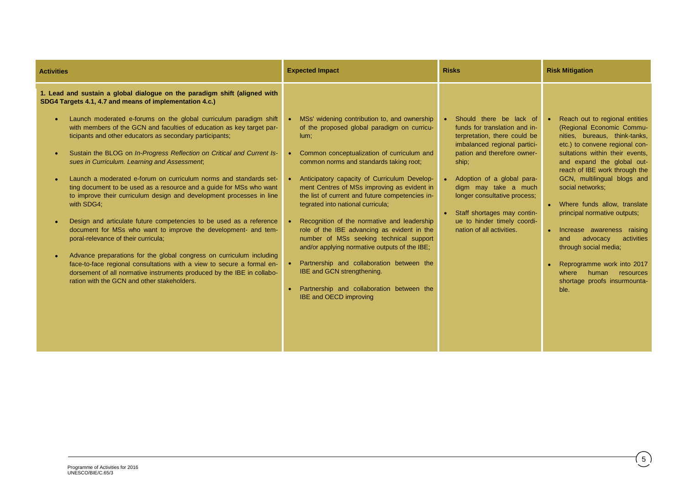| <b>Activities</b>                                                                                                                                                                                                                                                                                                                                                                                                                                                                                                                                                                                                                                                                                                                                                                                                                                                                                                                                                                                                                                                                                                                                                                                                                      | <b>Expected Impact</b>                                                                                                                                                                                                                                                                                                                                                                                                                                                                                                                                                                                                                                                                                                                     | <b>Risks</b>                                                                                                                                                                                                                                                                                                                                      | <b>Risk Mitigation</b>                                                                                                                                                                                                                                                                                                                                                                                                                                                                                                                                                  |
|----------------------------------------------------------------------------------------------------------------------------------------------------------------------------------------------------------------------------------------------------------------------------------------------------------------------------------------------------------------------------------------------------------------------------------------------------------------------------------------------------------------------------------------------------------------------------------------------------------------------------------------------------------------------------------------------------------------------------------------------------------------------------------------------------------------------------------------------------------------------------------------------------------------------------------------------------------------------------------------------------------------------------------------------------------------------------------------------------------------------------------------------------------------------------------------------------------------------------------------|--------------------------------------------------------------------------------------------------------------------------------------------------------------------------------------------------------------------------------------------------------------------------------------------------------------------------------------------------------------------------------------------------------------------------------------------------------------------------------------------------------------------------------------------------------------------------------------------------------------------------------------------------------------------------------------------------------------------------------------------|---------------------------------------------------------------------------------------------------------------------------------------------------------------------------------------------------------------------------------------------------------------------------------------------------------------------------------------------------|-------------------------------------------------------------------------------------------------------------------------------------------------------------------------------------------------------------------------------------------------------------------------------------------------------------------------------------------------------------------------------------------------------------------------------------------------------------------------------------------------------------------------------------------------------------------------|
| 1. Lead and sustain a global dialogue on the paradigm shift (aligned with<br>SDG4 Targets 4.1, 4.7 and means of implementation 4.c.)<br>Launch moderated e-forums on the global curriculum paradigm shift<br>$\bullet$<br>with members of the GCN and faculties of education as key target par-<br>ticipants and other educators as secondary participants;<br>Sustain the BLOG on In-Progress Reflection on Critical and Current Is-<br>$\bullet$<br>sues in Curriculum. Learning and Assessment,<br>Launch a moderated e-forum on curriculum norms and standards set-<br>$\bullet$<br>ting document to be used as a resource and a guide for MSs who want<br>to improve their curriculum design and development processes in line<br>with SDG4;<br>Design and articulate future competencies to be used as a reference<br>$\bullet$<br>document for MSs who want to improve the development- and tem-<br>poral-relevance of their curricula,<br>Advance preparations for the global congress on curriculum including<br>$\bullet$<br>face-to-face regional consultations with a view to secure a formal en-<br>dorsement of all normative instruments produced by the IBE in collabo-<br>ration with the GCN and other stakeholders. | • MSs' widening contribution to, and ownership<br>of the proposed global paradigm on curricu-<br>lum;<br>• Common conceptualization of curriculum and<br>common norms and standards taking root;<br>Anticipatory capacity of Curriculum Develop-<br>ment Centres of MSs improving as evident in<br>the list of current and future competencies in-<br>tegrated into national curricula;<br>Recognition of the normative and leadership<br>role of the IBE advancing as evident in the<br>number of MSs seeking technical support<br>and/or applying normative outputs of the IBE;<br>Partnership and collaboration between the<br>IBE and GCN strengthening.<br>Partnership and collaboration between the<br><b>IBE and OECD improving</b> | Should there be lack of<br>funds for translation and in-<br>terpretation, there could be<br>imbalanced regional partici-<br>pation and therefore owner-<br>ship;<br>Adoption of a global para-<br>digm may take a much<br>longer consultative process;<br>Staff shortages may contin-<br>ue to hinder timely coordi-<br>nation of all activities. | Reach out to regional entities<br>(Regional Economic Commu-<br>nities, bureaus, think-tanks,<br>etc.) to convene regional con-<br>sultations within their events,<br>and expand the global out-<br>reach of IBE work through the<br>GCN, multilingual blogs and<br>social networks;<br>Where funds allow, translate<br>principal normative outputs;<br>Increase awareness raising<br>$\bullet$<br>activities<br>advocacy<br>and<br>through social media;<br>Reprogramme work into 2017<br>$\bullet$<br>where<br>human resources<br>shortage proofs insurmounta-<br>ble. |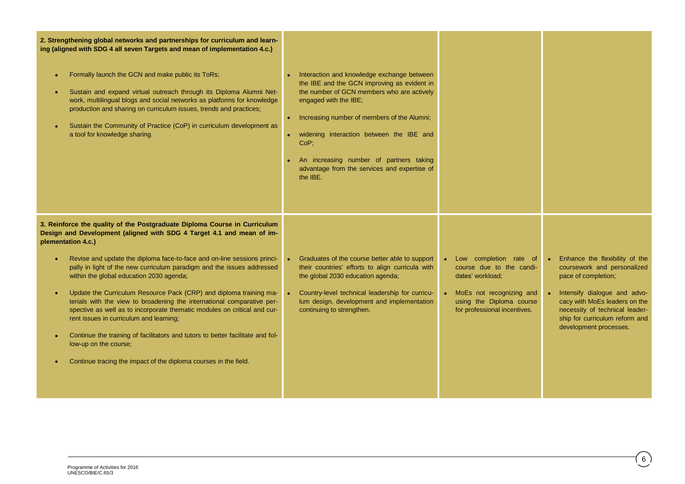| 2. Strengthening global networks and partnerships for curriculum and learn-<br>ing (aligned with SDG 4 all seven Targets and mean of implementation 4.c.)<br>Formally launch the GCN and make public its ToRs;<br>Sustain and expand virtual outreach through its Diploma Alumni Net-<br>work, multilingual blogs and social networks as platforms for knowledge<br>production and sharing on curriculum issues, trends and practices;<br>Sustain the Community of Practice (CoP) in curriculum development as<br>a tool for knowledge sharing.                                                                                                                                                                                                                                                                                 | • Interaction and knowledge exchange between<br>the IBE and the GCN improving as evident in<br>the number of GCN members who are actively<br>engaged with the IBE;<br>• Increasing number of members of the Alumni;<br>· widening interaction between the IBE and<br>CoP:<br>An increasing number of partners taking<br>advantage from the services and expertise of<br>the IBE. |                                                                                                                                                                    |                                                                                                                                                                                                                                                     |
|---------------------------------------------------------------------------------------------------------------------------------------------------------------------------------------------------------------------------------------------------------------------------------------------------------------------------------------------------------------------------------------------------------------------------------------------------------------------------------------------------------------------------------------------------------------------------------------------------------------------------------------------------------------------------------------------------------------------------------------------------------------------------------------------------------------------------------|----------------------------------------------------------------------------------------------------------------------------------------------------------------------------------------------------------------------------------------------------------------------------------------------------------------------------------------------------------------------------------|--------------------------------------------------------------------------------------------------------------------------------------------------------------------|-----------------------------------------------------------------------------------------------------------------------------------------------------------------------------------------------------------------------------------------------------|
| 3. Reinforce the quality of the Postgraduate Diploma Course in Curriculum<br>Design and Development (aligned with SDG 4 Target 4.1 and mean of im-<br>plementation 4.c.)<br>Revise and update the diploma face-to-face and on-line sessions princi-<br>pally in light of the new curriculum paradigm and the issues addressed<br>within the global education 2030 agenda;<br>Update the Curriculum Resource Pack (CRP) and diploma training ma-<br>terials with the view to broadening the international comparative per-<br>spective as well as to incorporate thematic modules on critical and cur-<br>rent issues in curriculum and learning;<br>Continue the training of facilitators and tutors to better facilitate and fol-<br>low-up on the course;<br>Continue tracing the impact of the diploma courses in the field. | • Graduates of the course better able to support<br>their countries' efforts to align curricula with<br>the global 2030 education agenda;<br>Country-level technical leadership for curricu-<br>lum design, development and implementation<br>continuing to strengthen.                                                                                                          | • Low completion rate of<br>course due to the candi-<br>dates' workload;<br>• MoEs not recognizing and<br>using the Diploma course<br>for professional incentives. | Enhance the flexibility of the<br>coursework and personalized<br>pace of completion;<br>Intensify dialogue and advo-<br>cacy with MoEs leaders on the<br>necessity of technical leader-<br>ship for curriculum reform and<br>development processes. |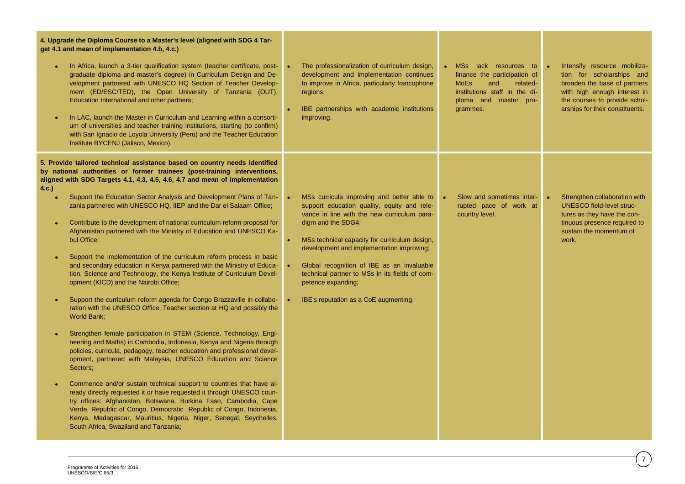| 4. Upgrade the Diploma Course to a Master's level (aligned with SDG 4 Tar-<br>get 4.1 and mean of implementation 4.b, 4.c.)<br>In Africa, launch a 3-tier qualification system (teacher certificate, post-<br>graduate diploma and master's degree) in Curriculum Design and De-<br>velopment partnered with UNESCO HQ Section of Teacher Develop-<br>ment (ED/ESC/TED), the Open University of Tanzania (OUT),<br>Education International and other partners;<br>In LAC, launch the Master in Curriculum and Learning within a consorti-<br>um of universities and teacher training institutions, starting (to confirm)<br>with San Ignacio de Loyola University (Peru) and the Teacher Education<br>Institute BYCENJ (Jalisco, Mexico).                                                                                                                                                                                                                                                                                                                                                                                                                                                                                                                                                                                                                                                                                                                                                                                                                                                                                                                                                                              | The professionalization of curriculum design,<br>development and implementation continues<br>to improve in Africa, particularly francophone<br>regions;<br>IBE partnerships with academic institutions<br>improving.                                                                                                                                                                                                        | MSs lack resources to<br>finance the participation of<br><b>MoEs</b><br>and<br>related-<br>institutions staff in the di-<br>ploma and master pro-<br>grammes. | Intensify resource mobiliza-<br>tion for scholarships and<br>broaden the base of partners<br>with high enough interest in<br>the courses to provide schol-<br>arships for their constituents. |
|------------------------------------------------------------------------------------------------------------------------------------------------------------------------------------------------------------------------------------------------------------------------------------------------------------------------------------------------------------------------------------------------------------------------------------------------------------------------------------------------------------------------------------------------------------------------------------------------------------------------------------------------------------------------------------------------------------------------------------------------------------------------------------------------------------------------------------------------------------------------------------------------------------------------------------------------------------------------------------------------------------------------------------------------------------------------------------------------------------------------------------------------------------------------------------------------------------------------------------------------------------------------------------------------------------------------------------------------------------------------------------------------------------------------------------------------------------------------------------------------------------------------------------------------------------------------------------------------------------------------------------------------------------------------------------------------------------------------|-----------------------------------------------------------------------------------------------------------------------------------------------------------------------------------------------------------------------------------------------------------------------------------------------------------------------------------------------------------------------------------------------------------------------------|---------------------------------------------------------------------------------------------------------------------------------------------------------------|-----------------------------------------------------------------------------------------------------------------------------------------------------------------------------------------------|
| 5. Provide tailored technical assistance based on country needs identified<br>by national authorities or former trainees (post-training interventions,<br>aligned with SDG Targets 4.1, 4.3, 4.5, 4.6, 4.7 and mean of implementation<br>4.c.)<br>Support the Education Sector Analysis and Development Plans of Tan-<br>zania partnered with UNESCO HQ, IIEP and the Dar el Salaam Office;<br>Contribute to the development of national curriculum reform proposal for<br>Afghanistan partnered with the Ministry of Education and UNESCO Ka-<br>bul Office:<br>Support the implementation of the curriculum reform process in basic<br>and secondary education in Kenya partnered with the Ministry of Educa-<br>tion, Science and Technology, the Kenya Institute of Curriculum Devel-<br>opment (KICD) and the Nairobi Office;<br>Support the curriculum reform agenda for Congo Brazzaville in collabo-<br>ration with the UNESCO Office, Teacher section at HQ and possibly the<br>World Bank;<br>Strengthen female participation in STEM (Science, Technology, Engi-<br>neering and Maths) in Cambodia, Indonesia, Kenya and Nigeria through<br>policies, curricula, pedagogy, teacher education and professional devel-<br>opment, partnered with Malaysia, UNESCO Education and Science<br>Sectors;<br>Commence and/or sustain technical support to countries that have al-<br>ready directly requested it or have requested it through UNESCO coun-<br>try offices: Afghanistan, Botswana, Burkina Faso, Cambodia, Cape<br>Verde, Republic of Congo, Democratic Republic of Congo, Indonesia,<br>Kenya, Madagascar, Mauritius, Nigeria, Niger, Senegal, Seychelles,<br>South Africa, Swaziland and Tanzania; | MSs curricula improving and better able to<br>support education quality, equity and rele-<br>vance in line with the new curriculum para-<br>digm and the SDG4;<br>MSs technical capacity for curriculum design,<br>development and implementation improving;<br>Global recognition of IBE as an invaluable<br>technical partner to MSs in its fields of com-<br>petence expanding;<br>IBE's reputation as a CoE augmenting. | Slow and sometimes inter-<br>rupted pace of work at<br>country level.                                                                                         | Strengthen collaboration with<br>$\bullet$<br>UNESCO field-level struc-<br>tures as they have the con-<br>tinuous presence required to<br>sustain the momentum of<br>work.                    |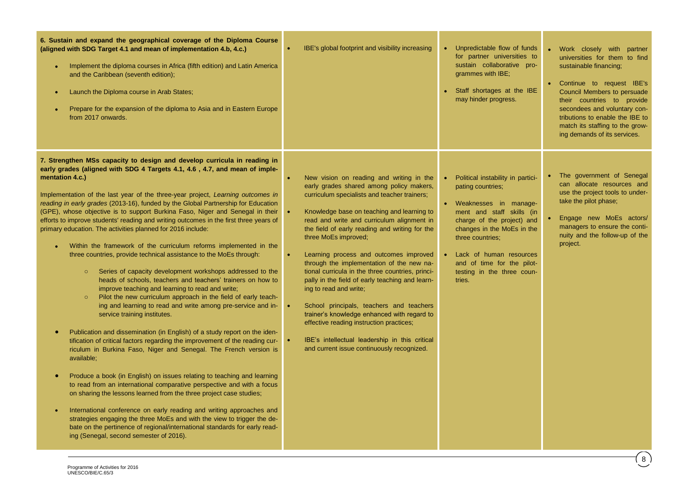| 7. Strengthen MSs capacity to design and develop curricula in reading in<br>early grades (aligned with SDG 4 Targets 4.1, 4.6, 4.7, and mean of imple-<br>mentation 4.c.)<br>New vision on reading and writing in the<br>early grades shared among policy makers,<br>Implementation of the last year of the three-year project, Learning outcomes in<br>curriculum specialists and teacher trainers;<br>reading in early grades (2013-16), funded by the Global Partnership for Education<br>(GPE), whose objective is to support Burkina Faso, Niger and Senegal in their<br>Knowledge base on teaching and learning to<br>read and write and curriculum alignment in<br>efforts to improve students' reading and writing outcomes in the first three years of<br>primary education. The activities planned for 2016 include:<br>the field of early reading and writing for the<br>three MoEs improved;<br>Within the framework of the curriculum reforms implemented in the<br>$\bullet$<br>three countries, provide technical assistance to the MoEs through:<br>Learning process and outcomes improved<br>through the implementation of the new na-<br>tional curricula in the three countries, princi-<br>Series of capacity development workshops addressed to the<br>$\circ$<br>heads of schools, teachers and teachers' trainers on how to<br>pally in the field of early teaching and learn-<br>improve teaching and learning to read and write;<br>ing to read and write;<br>Pilot the new curriculum approach in the field of early teach-<br>$\circ$<br>ing and learning to read and write among pre-service and in-<br>School principals, teachers and teachers<br>trainer's knowledge enhanced with regard to<br>service training institutes.<br>effective reading instruction practices;<br>Publication and dissemination (in English) of a study report on the iden-<br>$\bullet$<br>IBE's intellectual leadership in this critical<br>tification of critical factors regarding the improvement of the reading cur-<br>and current issue continuously recognized.<br>riculum in Burkina Faso, Niger and Senegal. The French version is<br>available;<br>Produce a book (in English) on issues relating to teaching and learning<br>$\bullet$<br>to read from an international comparative perspective and with a focus<br>on sharing the lessons learned from the three project case studies;<br>International conference on early reading and writing approaches and<br>$\bullet$<br>strategies engaging the three MoEs and with the view to trigger the de-<br>bate on the pertinence of regional/international standards for early read-<br>ing (Senegal, second semester of 2016). | • Political instability in partici-<br>pating countries;<br>• Weaknesses in manage-<br>ment and staff skills (in<br>charge of the project) and<br>changes in the MoEs in the<br>three countries;<br>Lack of human resources<br>and of time for the pilot-<br>testing in the three coun-<br>tries. | The government of Senegal<br>can allocate resources and<br>use the project tools to under-<br>take the pilot phase;<br>Engage new MoEs actors/<br>managers to ensure the conti-<br>nuity and the follow-up of the<br>project. |
|--------------------------------------------------------------------------------------------------------------------------------------------------------------------------------------------------------------------------------------------------------------------------------------------------------------------------------------------------------------------------------------------------------------------------------------------------------------------------------------------------------------------------------------------------------------------------------------------------------------------------------------------------------------------------------------------------------------------------------------------------------------------------------------------------------------------------------------------------------------------------------------------------------------------------------------------------------------------------------------------------------------------------------------------------------------------------------------------------------------------------------------------------------------------------------------------------------------------------------------------------------------------------------------------------------------------------------------------------------------------------------------------------------------------------------------------------------------------------------------------------------------------------------------------------------------------------------------------------------------------------------------------------------------------------------------------------------------------------------------------------------------------------------------------------------------------------------------------------------------------------------------------------------------------------------------------------------------------------------------------------------------------------------------------------------------------------------------------------------------------------------------------------------------------------------------------------------------------------------------------------------------------------------------------------------------------------------------------------------------------------------------------------------------------------------------------------------------------------------------------------------------------------------------------------------------------------------------------------------------------------------------------------------------------------------------------------------|---------------------------------------------------------------------------------------------------------------------------------------------------------------------------------------------------------------------------------------------------------------------------------------------------|-------------------------------------------------------------------------------------------------------------------------------------------------------------------------------------------------------------------------------|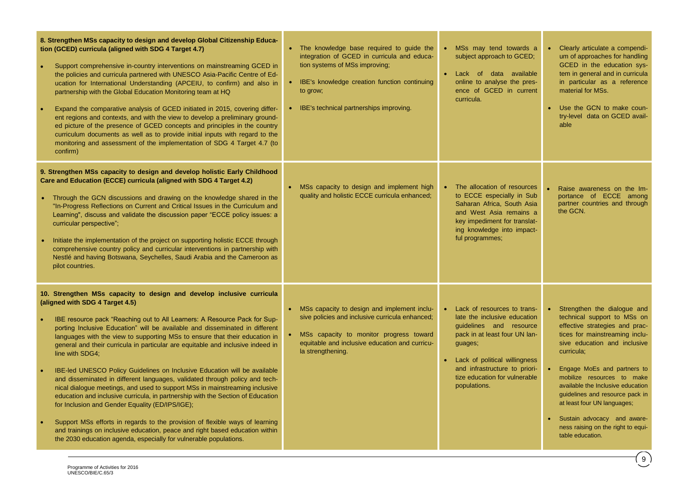| 8. Strengthen MSs capacity to design and develop Global Citizenship Educa-<br>tion (GCED) curricula (aligned with SDG 4 Target 4.7)<br>Support comprehensive in-country interventions on mainstreaming GCED in<br>the policies and curricula partnered with UNESCO Asia-Pacific Centre of Ed-<br>ucation for International Understanding (APCEIU, to confirm) and also in<br>partnership with the Global Education Monitoring team at HQ<br>Expand the comparative analysis of GCED initiated in 2015, covering differ-<br>ent regions and contexts, and with the view to develop a preliminary ground-<br>ed picture of the presence of GCED concepts and principles in the country<br>curriculum documents as well as to provide initial inputs with regard to the<br>monitoring and assessment of the implementation of SDG 4 Target 4.7 (to<br>confirm)                                                                                                                                                                                                                      | • The knowledge base required to guide the<br>integration of GCED in curricula and educa-<br>tion systems of MSs improving;<br>• IBE's knowledge creation function continuing<br>to grow;<br>• IBE's technical partnerships improving. | MSs may tend towards a<br>subject approach to GCED;<br>Lack of data available<br>online to analyse the pres-<br>ence of GCED in current<br>curricula.                                                                                                 | Clearly articulate a compendi-<br>$\bullet$<br>um of approaches for handling<br>GCED in the education sys-<br>tem in general and in curricula<br>in particular as a reference<br>material for MSs.<br>• Use the GCN to make coun-<br>try-level data on GCED avail-<br>able                                                                                                                                                                               |
|----------------------------------------------------------------------------------------------------------------------------------------------------------------------------------------------------------------------------------------------------------------------------------------------------------------------------------------------------------------------------------------------------------------------------------------------------------------------------------------------------------------------------------------------------------------------------------------------------------------------------------------------------------------------------------------------------------------------------------------------------------------------------------------------------------------------------------------------------------------------------------------------------------------------------------------------------------------------------------------------------------------------------------------------------------------------------------|----------------------------------------------------------------------------------------------------------------------------------------------------------------------------------------------------------------------------------------|-------------------------------------------------------------------------------------------------------------------------------------------------------------------------------------------------------------------------------------------------------|----------------------------------------------------------------------------------------------------------------------------------------------------------------------------------------------------------------------------------------------------------------------------------------------------------------------------------------------------------------------------------------------------------------------------------------------------------|
| 9. Strengthen MSs capacity to design and develop holistic Early Childhood<br>Care and Education (ECCE) curricula (aligned with SDG 4 Target 4.2)<br>• Through the GCN discussions and drawing on the knowledge shared in the<br>"In-Progress Reflections on Current and Critical Issues in the Curriculum and<br>Learning", discuss and validate the discussion paper "ECCE policy issues: a<br>curricular perspective";<br>Initiate the implementation of the project on supporting holistic ECCE through<br>comprehensive country policy and curricular interventions in partnership with<br>Nestlé and having Botswana, Seychelles, Saudi Arabia and the Cameroon as<br>pilot countries.                                                                                                                                                                                                                                                                                                                                                                                      | • MSs capacity to design and implement high<br>quality and holistic ECCE curricula enhanced;                                                                                                                                           | The allocation of resources<br>to ECCE especially in Sub<br>Saharan Africa, South Asia<br>and West Asia remains a<br>key impediment for translat-<br>ing knowledge into impact-<br>ful programmes;                                                    | Raise awareness on the Im-<br>portance of ECCE among<br>partner countries and through<br>the GCN.                                                                                                                                                                                                                                                                                                                                                        |
| 10. Strengthen MSs capacity to design and develop inclusive curricula<br>(aligned with SDG 4 Target 4.5)<br>IBE resource pack "Reaching out to All Learners: A Resource Pack for Sup-<br>porting Inclusive Education" will be available and disseminated in different<br>languages with the view to supporting MSs to ensure that their education in<br>general and their curricula in particular are equitable and inclusive indeed in<br>line with SDG4;<br>IBE-led UNESCO Policy Guidelines on Inclusive Education will be available<br>and disseminated in different languages, validated through policy and tech-<br>nical dialogue meetings, and used to support MSs in mainstreaming inclusive<br>education and inclusive curricula, in partnership with the Section of Education<br>for Inclusion and Gender Equality (ED/IPS/IGE);<br>Support MSs efforts in regards to the provision of flexible ways of learning<br>and trainings on inclusive education, peace and right based education within<br>the 2030 education agenda, especially for vulnerable populations. | • MSs capacity to design and implement inclu-<br>sive policies and inclusive curricula enhanced;<br>• MSs capacity to monitor progress toward<br>equitable and inclusive education and curricu-<br>la strengthening.                   | Lack of resources to trans-<br>late the inclusive education<br>guidelines and resource<br>pack in at least four UN lan-<br>guages;<br>Lack of political willingness<br>and infrastructure to priori-<br>tize education for vulnerable<br>populations. | • Strengthen the dialogue and<br>technical support to MSs on<br>effective strategies and prac-<br>tices for mainstreaming inclu-<br>sive education and inclusive<br>curricula;<br>$\bullet$<br>Engage MoEs and partners to<br>mobilize resources to make<br>available the Inclusive education<br>guidelines and resource pack in<br>at least four UN languages;<br>Sustain advocacy and aware-<br>ness raising on the right to equi-<br>table education. |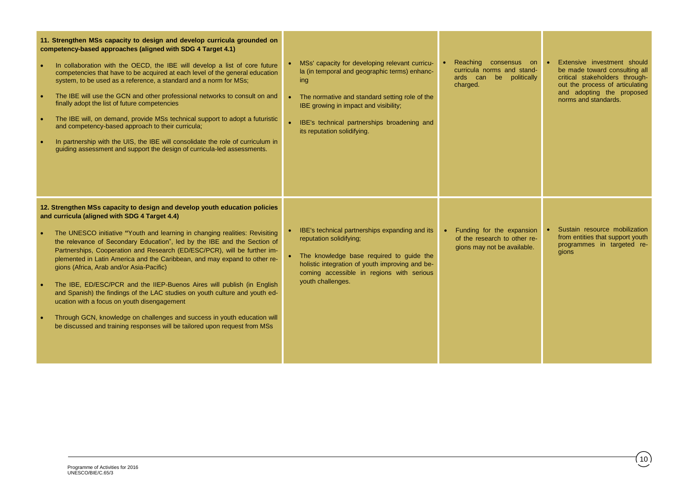| 11. Strengthen MSs capacity to design and develop curricula grounded on<br>competency-based approaches (aligned with SDG 4 Target 4.1)<br>In collaboration with the OECD, the IBE will develop a list of core future<br>competencies that have to be acquired at each level of the general education<br>system, to be used as a reference, a standard and a norm for MSs;<br>The IBE will use the GCN and other professional networks to consult on and<br>finally adopt the list of future competencies<br>The IBE will, on demand, provide MSs technical support to adopt a futuristic<br>and competency-based approach to their curricula;<br>In partnership with the UIS, the IBE will consolidate the role of curriculum in<br>guiding assessment and support the design of curricula-led assessments.                                                   | • MSs' capacity for developing relevant curricu-<br>la (in temporal and geographic terms) enhanc-<br>ing<br>• The normative and standard setting role of the<br>IBE growing in impact and visibility;<br>• IBE's technical partnerships broadening and<br>its reputation solidifying. | Reaching consensus on<br>curricula norms and stand-<br>ards can be politically<br>charged. | Extensive investment should<br>be made toward consulting all<br>critical stakeholders through-<br>out the process of articulating<br>and adopting the proposed<br>norms and standards. |
|---------------------------------------------------------------------------------------------------------------------------------------------------------------------------------------------------------------------------------------------------------------------------------------------------------------------------------------------------------------------------------------------------------------------------------------------------------------------------------------------------------------------------------------------------------------------------------------------------------------------------------------------------------------------------------------------------------------------------------------------------------------------------------------------------------------------------------------------------------------|---------------------------------------------------------------------------------------------------------------------------------------------------------------------------------------------------------------------------------------------------------------------------------------|--------------------------------------------------------------------------------------------|----------------------------------------------------------------------------------------------------------------------------------------------------------------------------------------|
| 12. Strengthen MSs capacity to design and develop youth education policies<br>and curricula (aligned with SDG 4 Target 4.4)<br>The UNESCO initiative "Youth and learning in changing realities: Revisiting<br>the relevance of Secondary Education", led by the IBE and the Section of<br>Partnerships, Cooperation and Research (ED/ESC/PCR), will be further im-<br>plemented in Latin America and the Caribbean, and may expand to other re-<br>gions (Africa, Arab and/or Asia-Pacific)<br>The IBE, ED/ESC/PCR and the IIEP-Buenos Aires will publish (in English<br>and Spanish) the findings of the LAC studies on youth culture and youth ed-<br>ucation with a focus on youth disengagement<br>Through GCN, knowledge on challenges and success in youth education will<br>be discussed and training responses will be tailored upon request from MSs | • IBE's technical partnerships expanding and its<br>reputation solidifying;<br>• The knowledge base required to guide the<br>holistic integration of youth improving and be-<br>coming accessible in regions with serious<br>youth challenges.                                        | Funding for the expansion<br>of the research to other re-<br>gions may not be available.   | Sustain resource mobilization<br>from entities that support youth<br>programmes in targeted re-<br>gions                                                                               |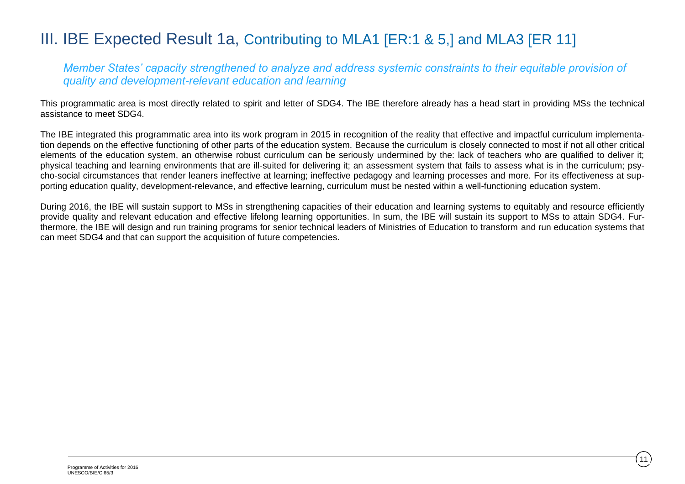### III. IBE Expected Result 1a, Contributing to MLA1 [ER:1 & 5,] and MLA3 [ER 11]

*Member States' capacity strengthened to analyze and address systemic constraints to their equitable provision of quality and development-relevant education and learning*

This programmatic area is most directly related to spirit and letter of SDG4. The IBE therefore already has a head start in providing MSs the technical assistance to meet SDG4.

The IBE integrated this programmatic area into its work program in 2015 in recognition of the reality that effective and impactful curriculum implementation depends on the effective functioning of other parts of the education system. Because the curriculum is closely connected to most if not all other critical elements of the education system, an otherwise robust curriculum can be seriously undermined by the: lack of teachers who are qualified to deliver it; physical teaching and learning environments that are ill-suited for delivering it; an assessment system that fails to assess what is in the curriculum; psycho-social circumstances that render leaners ineffective at learning; ineffective pedagogy and learning processes and more. For its effectiveness at supporting education quality, development-relevance, and effective learning, curriculum must be nested within a well-functioning education system.

During 2016, the IBE will sustain support to MSs in strengthening capacities of their education and learning systems to equitably and resource efficiently provide quality and relevant education and effective lifelong learning opportunities. In sum, the IBE will sustain its support to MSs to attain SDG4. Furthermore, the IBE will design and run training programs for senior technical leaders of Ministries of Education to transform and run education systems that can meet SDG4 and that can support the acquisition of future competencies.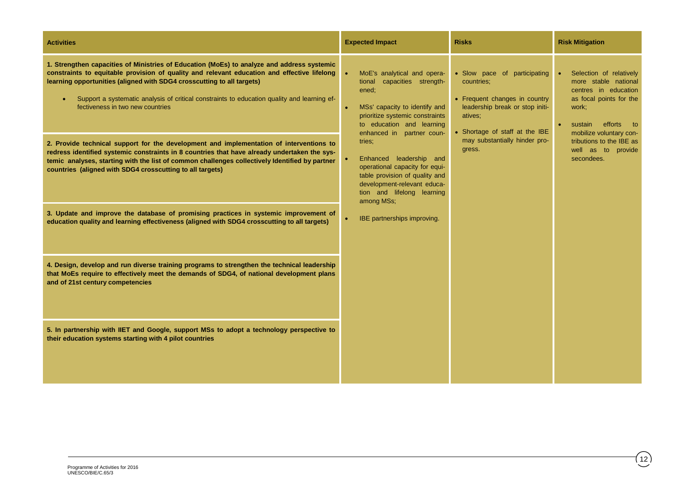| <b>Activities</b>                                                                                                                                                                                                                                                                                                                                                                                                                                                                                 | <b>Expected Impact</b>                                                                                                                                                                                                      | <b>Risks</b> | <b>Risk Mitigation</b>                                                                                                                                                                       |                                                                                                                                                                                             |
|---------------------------------------------------------------------------------------------------------------------------------------------------------------------------------------------------------------------------------------------------------------------------------------------------------------------------------------------------------------------------------------------------------------------------------------------------------------------------------------------------|-----------------------------------------------------------------------------------------------------------------------------------------------------------------------------------------------------------------------------|--------------|----------------------------------------------------------------------------------------------------------------------------------------------------------------------------------------------|---------------------------------------------------------------------------------------------------------------------------------------------------------------------------------------------|
| 1. Strengthen capacities of Ministries of Education (MoEs) to analyze and address systemic<br>constraints to equitable provision of quality and relevant education and effective lifelong<br>learning opportunities (aligned with SDG4 crosscutting to all targets)<br>Support a systematic analysis of critical constraints to education quality and learning ef-<br>fectiveness in two new countries<br>2. Provide technical support for the development and implementation of interventions to | MoE's analytical and opera-<br>$\bullet$<br>capacities strength-<br>tional<br>ened;<br>MSs' capacity to identify and<br>prioritize systemic constraints<br>to education and learning<br>enhanced in partner coun-<br>tries; |              | • Slow pace of participating<br>countries:<br>• Frequent changes in country<br>leadership break or stop initi-<br>atives;<br>• Shortage of staff at the IBE<br>may substantially hinder pro- | Selection of relatively<br>more stable national<br>centres in education<br>as focal points for the<br>work;<br>efforts to<br>sustain<br>mobilize voluntary con-<br>tributions to the IBE as |
| redress identified systemic constraints in 8 countries that have already undertaken the sys-<br>temic analyses, starting with the list of common challenges collectively Identified by partner<br>countries (aligned with SDG4 crosscutting to all targets)                                                                                                                                                                                                                                       | Enhanced leadership and<br>operational capacity for equi-<br>table provision of quality and<br>development-relevant educa-<br>tion and lifelong learning<br>among MSs;                                                      | gress.       | well as to provide<br>secondees.                                                                                                                                                             |                                                                                                                                                                                             |
| 3. Update and improve the database of promising practices in systemic improvement of<br>education quality and learning effectiveness (aligned with SDG4 crosscutting to all targets)                                                                                                                                                                                                                                                                                                              | <b>IBE</b> partnerships improving.                                                                                                                                                                                          |              |                                                                                                                                                                                              |                                                                                                                                                                                             |
| 4. Design, develop and run diverse training programs to strengthen the technical leadership<br>that MoEs require to effectively meet the demands of SDG4, of national development plans<br>and of 21st century competencies                                                                                                                                                                                                                                                                       |                                                                                                                                                                                                                             |              |                                                                                                                                                                                              |                                                                                                                                                                                             |
| 5. In partnership with IIET and Google, support MSs to adopt a technology perspective to<br>their education systems starting with 4 pilot countries                                                                                                                                                                                                                                                                                                                                               |                                                                                                                                                                                                                             |              |                                                                                                                                                                                              |                                                                                                                                                                                             |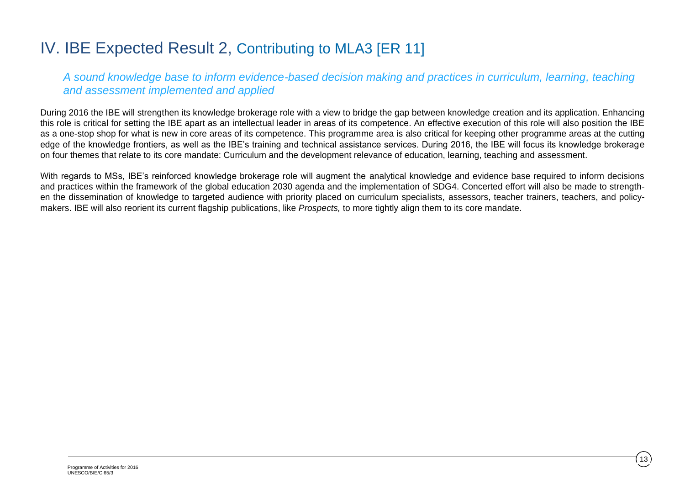### IV. IBE Expected Result 2, Contributing to MLA3 [ER 11]

*A sound knowledge base to inform evidence-based decision making and practices in curriculum, learning, teaching and assessment implemented and applied*

During 2016 the IBE will strengthen its knowledge brokerage role with a view to bridge the gap between knowledge creation and its application. Enhancing this role is critical for setting the IBE apart as an intellectual leader in areas of its competence. An effective execution of this role will also position the IBE as a one-stop shop for what is new in core areas of its competence. This programme area is also critical for keeping other programme areas at the cutting edge of the knowledge frontiers, as well as the IBE's training and technical assistance services. During 2016, the IBE will focus its knowledge brokerage on four themes that relate to its core mandate: Curriculum and the development relevance of education, learning, teaching and assessment.

With regards to MSs, IBE's reinforced knowledge brokerage role will augment the analytical knowledge and evidence base required to inform decisions and practices within the framework of the global education 2030 agenda and the implementation of SDG4. Concerted effort will also be made to strengthen the dissemination of knowledge to targeted audience with priority placed on curriculum specialists, assessors, teacher trainers, teachers, and policymakers. IBE will also reorient its current flagship publications, like *Prospects,* to more tightly align them to its core mandate.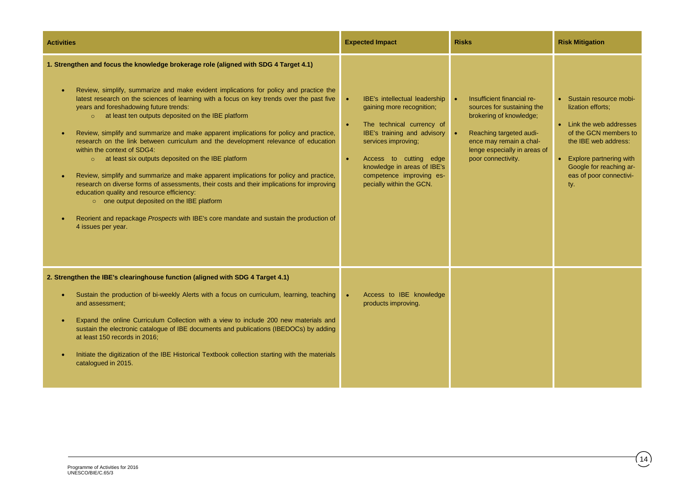| <b>Activities</b>                                                                                                                                                                                                                                                                                                                                                                                                                                                                                                                                                                                                                                                                                                                                                                                                                                                                                                                                                                                                                                                                                                 | <b>Expected Impact</b>                                                                                                                                                                                                                                                                                | <b>Risks</b>                                                                                                                                                                                    | <b>Risk Mitigation</b>                                                                                                                                                                                               |
|-------------------------------------------------------------------------------------------------------------------------------------------------------------------------------------------------------------------------------------------------------------------------------------------------------------------------------------------------------------------------------------------------------------------------------------------------------------------------------------------------------------------------------------------------------------------------------------------------------------------------------------------------------------------------------------------------------------------------------------------------------------------------------------------------------------------------------------------------------------------------------------------------------------------------------------------------------------------------------------------------------------------------------------------------------------------------------------------------------------------|-------------------------------------------------------------------------------------------------------------------------------------------------------------------------------------------------------------------------------------------------------------------------------------------------------|-------------------------------------------------------------------------------------------------------------------------------------------------------------------------------------------------|----------------------------------------------------------------------------------------------------------------------------------------------------------------------------------------------------------------------|
| 1. Strengthen and focus the knowledge brokerage role (aligned with SDG 4 Target 4.1)<br>Review, simplify, summarize and make evident implications for policy and practice the<br>$\bullet$<br>latest research on the sciences of learning with a focus on key trends over the past five<br>years and foreshadowing future trends:<br>o at least ten outputs deposited on the IBE platform<br>Review, simplify and summarize and make apparent implications for policy and practice,<br>$\bullet$<br>research on the link between curriculum and the development relevance of education<br>within the context of SDG4:<br>$\circ$ at least six outputs deposited on the IBE platform<br>Review, simplify and summarize and make apparent implications for policy and practice,<br>$\bullet$<br>research on diverse forms of assessments, their costs and their implications for improving<br>education quality and resource efficiency:<br>o one output deposited on the IBE platform<br>Reorient and repackage Prospects with IBE's core mandate and sustain the production of<br>$\bullet$<br>4 issues per year. | IBE's intellectual leadership<br>$\bullet$<br>gaining more recognition;<br>The technical currency of<br>$\bullet$<br>IBE's training and advisory<br>services improving,<br>Access to cutting edge<br>$\bullet$<br>knowledge in areas of IBE's<br>competence improving es-<br>pecially within the GCN. | Insufficient financial re-<br>sources for sustaining the<br>brokering of knowledge;<br>Reaching targeted audi-<br>ence may remain a chal-<br>lenge especially in areas of<br>poor connectivity. | • Sustain resource mobi-<br>lization efforts:<br>• Link the web addresses<br>of the GCN members to<br>the IBE web address:<br>• Explore partnering with<br>Google for reaching ar-<br>eas of poor connectivi-<br>ty. |
| 2. Strengthen the IBE's clearinghouse function (aligned with SDG 4 Target 4.1)<br>Sustain the production of bi-weekly Alerts with a focus on curriculum, learning, teaching<br>$\bullet$<br>and assessment:<br>Expand the online Curriculum Collection with a view to include 200 new materials and<br>$\bullet$<br>sustain the electronic catalogue of IBE documents and publications (IBEDOCs) by adding<br>at least 150 records in 2016;<br>Initiate the digitization of the IBE Historical Textbook collection starting with the materials<br>$\bullet$<br>catalogued in 2015.                                                                                                                                                                                                                                                                                                                                                                                                                                                                                                                                | Access to IBE knowledge<br>$\bullet$<br>products improving.                                                                                                                                                                                                                                           |                                                                                                                                                                                                 |                                                                                                                                                                                                                      |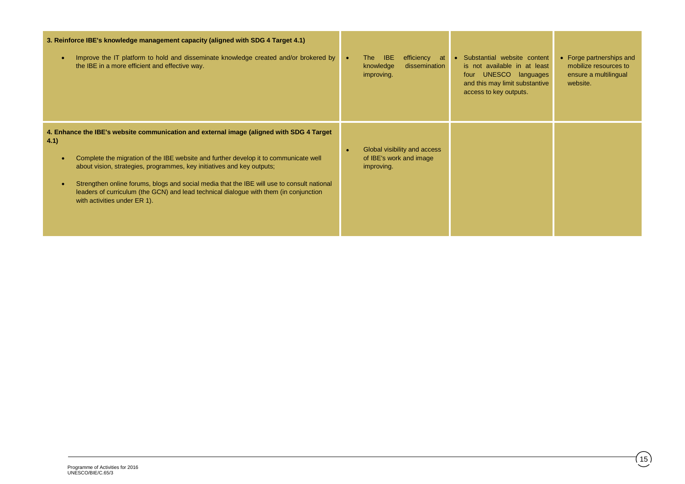| 3. Reinforce IBE's knowledge management capacity (aligned with SDG 4 Target 4.1)<br>Improve the IT platform to hold and disseminate knowledge created and/or brokered by<br>$\bullet$<br>the IBE in a more efficient and effective way.                                                                                                                                                                                                                                                                 | <b>The</b><br><b>IBE</b><br>efficiency at<br>$\bullet$<br>knowledge<br>dissemination<br>improving. | • Substantial website content<br>is not available in at least<br>UNESCO languages<br>four<br>and this may limit substantive<br>access to key outputs. | • Forge partnerships and<br>mobilize resources to<br>ensure a multilingual<br>website. |
|---------------------------------------------------------------------------------------------------------------------------------------------------------------------------------------------------------------------------------------------------------------------------------------------------------------------------------------------------------------------------------------------------------------------------------------------------------------------------------------------------------|----------------------------------------------------------------------------------------------------|-------------------------------------------------------------------------------------------------------------------------------------------------------|----------------------------------------------------------------------------------------|
| 4. Enhance the IBE's website communication and external image (aligned with SDG 4 Target)<br>4.1)<br>Complete the migration of the IBE website and further develop it to communicate well<br>about vision, strategies, programmes, key initiatives and key outputs;<br>Strengthen online forums, blogs and social media that the IBE will use to consult national<br>$\bullet$<br>leaders of curriculum (the GCN) and lead technical dialogue with them (in conjunction<br>with activities under ER 1). | Global visibility and access<br>of IBE's work and image<br>improving.                              |                                                                                                                                                       |                                                                                        |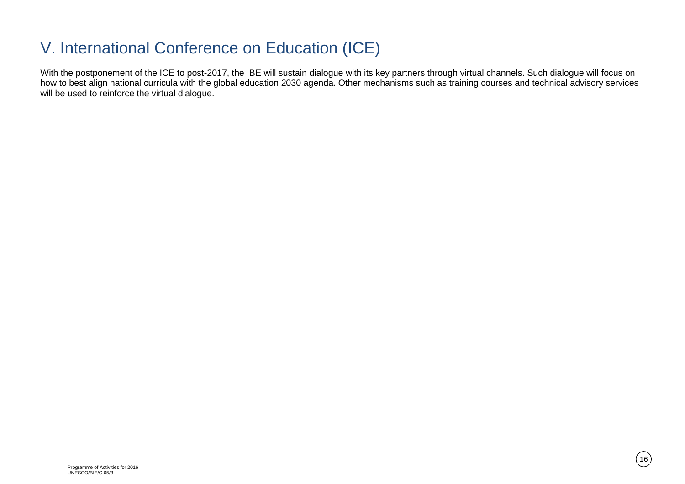## V. International Conference on Education (ICE)

With the postponement of the ICE to post-2017, the IBE will sustain dialogue with its key partners through virtual channels. Such dialogue will focus on how to best align national curricula with the global education 2030 agenda. Other mechanisms such as training courses and technical advisory services will be used to reinforce the virtual dialogue.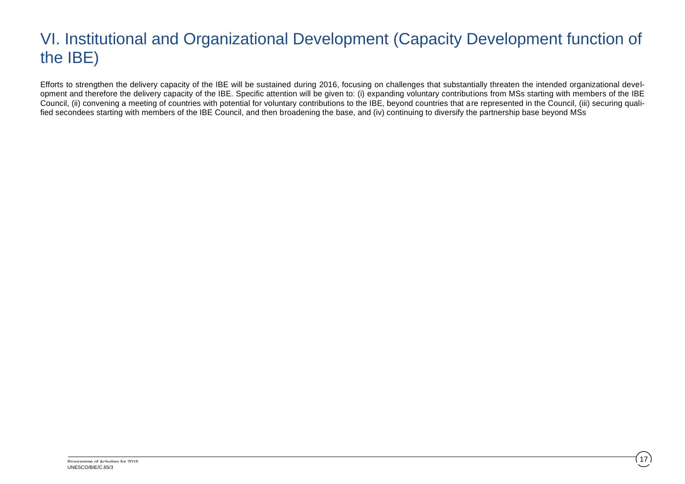## VI. Institutional and Organizational Development (Capacity Development function of the IBE)

Efforts to strengthen the delivery capacity of the IBE will be sustained during 2016, focusing on challenges that substantially threaten the intended organizational development and therefore the delivery capacity of the IBE. Specific attention will be given to: (i) expanding voluntary contributions from MSs starting with members of the IBE Council, (ii) convening a meeting of countries with potential for voluntary contributions to the IBE, beyond countries that are represented in the Council, (iii) securing qualified secondees starting with members of the IBE Council, and then broadening the base, and (iv) continuing to diversify the partnership base beyond MSs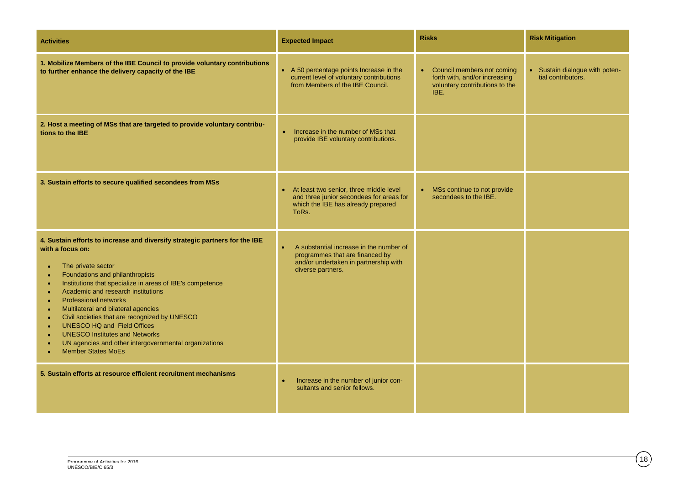| <b>Activities</b>                                                                                                                                                                                                                                                                                                                                                                                                                                                                                                                                                                                                                                                                                       | <b>Expected Impact</b>                                                                                                                                | <b>Risks</b>                                                                                            | <b>Risk Mitigation</b>                                          |
|---------------------------------------------------------------------------------------------------------------------------------------------------------------------------------------------------------------------------------------------------------------------------------------------------------------------------------------------------------------------------------------------------------------------------------------------------------------------------------------------------------------------------------------------------------------------------------------------------------------------------------------------------------------------------------------------------------|-------------------------------------------------------------------------------------------------------------------------------------------------------|---------------------------------------------------------------------------------------------------------|-----------------------------------------------------------------|
| 1. Mobilize Members of the IBE Council to provide voluntary contributions<br>to further enhance the delivery capacity of the IBE                                                                                                                                                                                                                                                                                                                                                                                                                                                                                                                                                                        | • A 50 percentage points Increase in the<br>current level of voluntary contributions<br>from Members of the IBE Council.                              | • Council members not coming<br>forth with, and/or increasing<br>voluntary contributions to the<br>IBE. | Sustain dialogue with poten-<br>$\bullet$<br>tial contributors. |
| 2. Host a meeting of MSs that are targeted to provide voluntary contribu-<br>tions to the IBE                                                                                                                                                                                                                                                                                                                                                                                                                                                                                                                                                                                                           | Increase in the number of MSs that<br>$\bullet$<br>provide IBE voluntary contributions.                                                               |                                                                                                         |                                                                 |
| 3. Sustain efforts to secure qualified secondees from MSs                                                                                                                                                                                                                                                                                                                                                                                                                                                                                                                                                                                                                                               | At least two senior, three middle level<br>$\bullet$<br>and three junior secondees for areas for<br>which the IBE has already prepared<br>ToRs.       | • MSs continue to not provide<br>secondees to the IBE.                                                  |                                                                 |
| 4. Sustain efforts to increase and diversify strategic partners for the IBE<br>with a focus on:<br>The private sector<br>$\bullet$<br>Foundations and philanthropists<br>$\bullet$<br>Institutions that specialize in areas of IBE's competence<br>$\bullet$<br>Academic and research institutions<br>$\bullet$<br><b>Professional networks</b><br>$\bullet$<br>Multilateral and bilateral agencies<br>$\bullet$<br>Civil societies that are recognized by UNESCO<br>$\bullet$<br><b>UNESCO HQ and Field Offices</b><br>$\bullet$<br><b>UNESCO Institutes and Networks</b><br>$\bullet$<br>UN agencies and other intergovernmental organizations<br>$\bullet$<br><b>Member States MoEs</b><br>$\bullet$ | A substantial increase in the number of<br>$\bullet$<br>programmes that are financed by<br>and/or undertaken in partnership with<br>diverse partners. |                                                                                                         |                                                                 |
| 5. Sustain efforts at resource efficient recruitment mechanisms                                                                                                                                                                                                                                                                                                                                                                                                                                                                                                                                                                                                                                         | Increase in the number of junior con-<br>$\bullet$<br>sultants and senior fellows.                                                                    |                                                                                                         |                                                                 |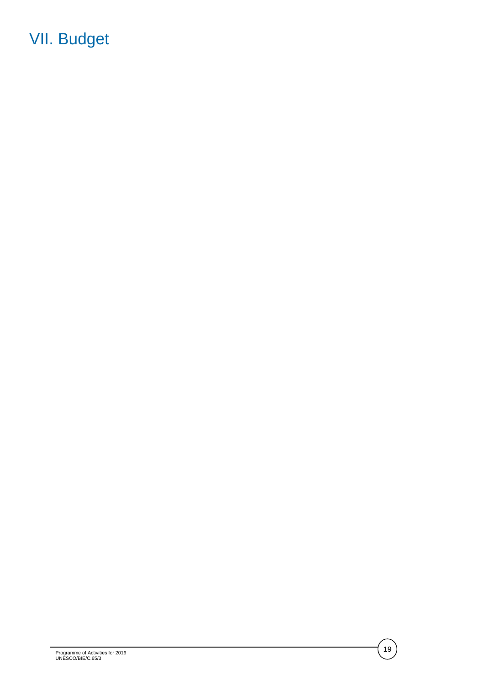## VII. Budget